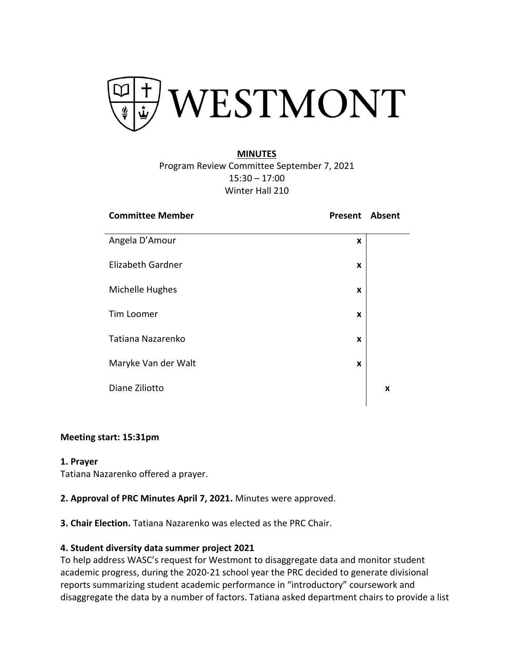

### **MINUTES**

Program Review Committee September 7, 2021 15:30 – 17:00 Winter Hall 210

| <b>Committee Member</b>  | <b>Present Absent</b> |   |
|--------------------------|-----------------------|---|
| Angela D'Amour           | X                     |   |
| <b>Elizabeth Gardner</b> | X                     |   |
| Michelle Hughes          | X                     |   |
| Tim Loomer               | X                     |   |
| Tatiana Nazarenko        | X                     |   |
| Maryke Van der Walt      | X                     |   |
| Diane Ziliotto           |                       | X |
|                          |                       |   |

### **Meeting start: 15:31pm**

#### **1. Prayer**

Tatiana Nazarenko offered a prayer.

### **2. Approval of PRC Minutes April 7, 2021.** Minutes were approved.

**3. Chair Election.** Tatiana Nazarenko was elected as the PRC Chair.

#### **4. Student diversity data summer project 2021**

To help address WASC's request for Westmont to disaggregate data and monitor student academic progress, during the 2020-21 school year the PRC decided to generate divisional reports summarizing student academic performance in "introductory" coursework and disaggregate the data by a number of factors. Tatiana asked department chairs to provide a list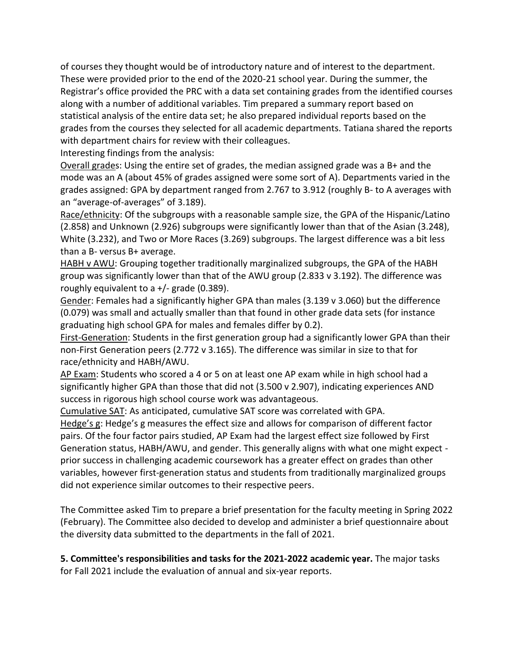of courses they thought would be of introductory nature and of interest to the department. These were provided prior to the end of the 2020-21 school year. During the summer, the Registrar's office provided the PRC with a data set containing grades from the identified courses along with a number of additional variables. Tim prepared a summary report based on statistical analysis of the entire data set; he also prepared individual reports based on the grades from the courses they selected for all academic departments. Tatiana shared the reports with department chairs for review with their colleagues.

Interesting findings from the analysis:

Overall grades: Using the entire set of grades, the median assigned grade was a B+ and the mode was an A (about 45% of grades assigned were some sort of A). Departments varied in the grades assigned: GPA by department ranged from 2.767 to 3.912 (roughly B- to A averages with an "average-of-averages" of 3.189).

Race/ethnicity: Of the subgroups with a reasonable sample size, the GPA of the Hispanic/Latino (2.858) and Unknown (2.926) subgroups were significantly lower than that of the Asian (3.248), White (3.232), and Two or More Races (3.269) subgroups. The largest difference was a bit less than a B- versus B+ average.

HABH v AWU: Grouping together traditionally marginalized subgroups, the GPA of the HABH group was significantly lower than that of the AWU group (2.833 v 3.192). The difference was roughly equivalent to a  $+/-$  grade (0.389).

Gender: Females had a significantly higher GPA than males (3.139 v 3.060) but the difference (0.079) was small and actually smaller than that found in other grade data sets (for instance graduating high school GPA for males and females differ by 0.2).

First-Generation: Students in the first generation group had a significantly lower GPA than their non-First Generation peers (2.772 v 3.165). The difference was similar in size to that for race/ethnicity and HABH/AWU.

AP Exam: Students who scored a 4 or 5 on at least one AP exam while in high school had a significantly higher GPA than those that did not (3.500 v 2.907), indicating experiences AND success in rigorous high school course work was advantageous.

Cumulative SAT: As anticipated, cumulative SAT score was correlated with GPA.

Hedge's g: Hedge's g measures the effect size and allows for comparison of different factor pairs. Of the four factor pairs studied, AP Exam had the largest effect size followed by First Generation status, HABH/AWU, and gender. This generally aligns with what one might expect prior success in challenging academic coursework has a greater effect on grades than other variables, however first-generation status and students from traditionally marginalized groups did not experience similar outcomes to their respective peers.

The Committee asked Tim to prepare a brief presentation for the faculty meeting in Spring 2022 (February). The Committee also decided to develop and administer a brief questionnaire about the diversity data submitted to the departments in the fall of 2021.

**5. Committee's responsibilities and tasks for the 2021-2022 academic year.** The major tasks for Fall 2021 include the evaluation of annual and six-year reports.